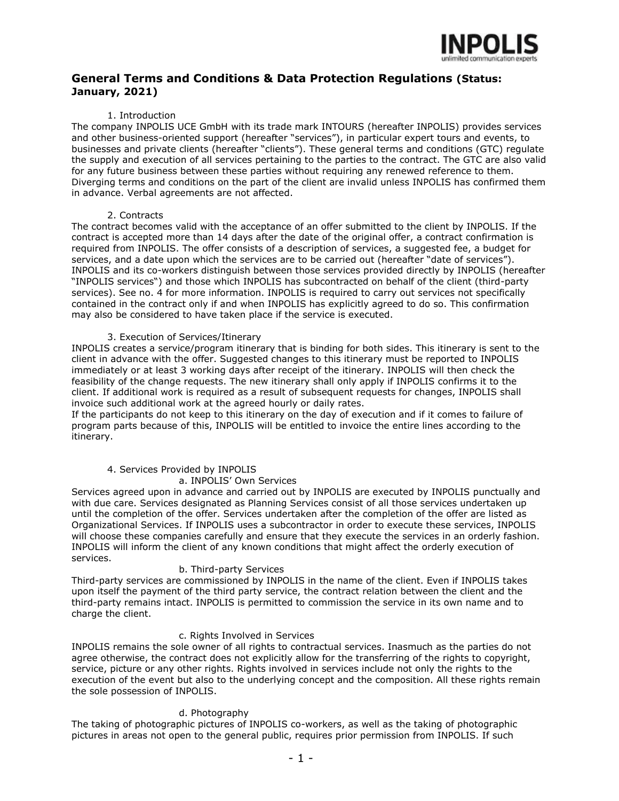

# **General Terms and Conditions & Data Protection Regulations (Status: January, 2021)**

#### 1. Introduction

The company INPOLIS UCE GmbH with its trade mark INTOURS (hereafter INPOLIS) provides services and other business-oriented support (hereafter "services"), in particular expert tours and events, to businesses and private clients (hereafter "clients"). These general terms and conditions (GTC) regulate the supply and execution of all services pertaining to the parties to the contract. The GTC are also valid for any future business between these parties without requiring any renewed reference to them. Diverging terms and conditions on the part of the client are invalid unless INPOLIS has confirmed them in advance. Verbal agreements are not affected.

#### 2. Contracts

The contract becomes valid with the acceptance of an offer submitted to the client by INPOLIS. If the contract is accepted more than 14 days after the date of the original offer, a contract confirmation is required from INPOLIS. The offer consists of a description of services, a suggested fee, a budget for services, and a date upon which the services are to be carried out (hereafter "date of services"). INPOLIS and its co-workers distinguish between those services provided directly by INPOLIS (hereafter "INPOLIS services") and those which INPOLIS has subcontracted on behalf of the client (third-party services). See no. 4 for more information. INPOLIS is required to carry out services not specifically contained in the contract only if and when INPOLIS has explicitly agreed to do so. This confirmation may also be considered to have taken place if the service is executed.

# 3. Execution of Services/Itinerary

INPOLIS creates a service/program itinerary that is binding for both sides. This itinerary is sent to the client in advance with the offer. Suggested changes to this itinerary must be reported to INPOLIS immediately or at least 3 working days after receipt of the itinerary. INPOLIS will then check the feasibility of the change requests. The new itinerary shall only apply if INPOLIS confirms it to the client. If additional work is required as a result of subsequent requests for changes, INPOLIS shall invoice such additional work at the agreed hourly or daily rates.

If the participants do not keep to this itinerary on the day of execution and if it comes to failure of program parts because of this, INPOLIS will be entitled to invoice the entire lines according to the itinerary.

# 4. Services Provided by INPOLIS

# a. INPOLIS' Own Services

Services agreed upon in advance and carried out by INPOLIS are executed by INPOLIS punctually and with due care. Services designated as Planning Services consist of all those services undertaken up until the completion of the offer. Services undertaken after the completion of the offer are listed as Organizational Services. If INPOLIS uses a subcontractor in order to execute these services, INPOLIS will choose these companies carefully and ensure that they execute the services in an orderly fashion. INPOLIS will inform the client of any known conditions that might affect the orderly execution of services.

# b. Third-party Services

Third-party services are commissioned by INPOLIS in the name of the client. Even if INPOLIS takes upon itself the payment of the third party service, the contract relation between the client and the third-party remains intact. INPOLIS is permitted to commission the service in its own name and to charge the client.

# c. Rights Involved in Services

INPOLIS remains the sole owner of all rights to contractual services. Inasmuch as the parties do not agree otherwise, the contract does not explicitly allow for the transferring of the rights to copyright, service, picture or any other rights. Rights involved in services include not only the rights to the execution of the event but also to the underlying concept and the composition. All these rights remain the sole possession of INPOLIS.

# d. Photography

The taking of photographic pictures of INPOLIS co-workers, as well as the taking of photographic pictures in areas not open to the general public, requires prior permission from INPOLIS. If such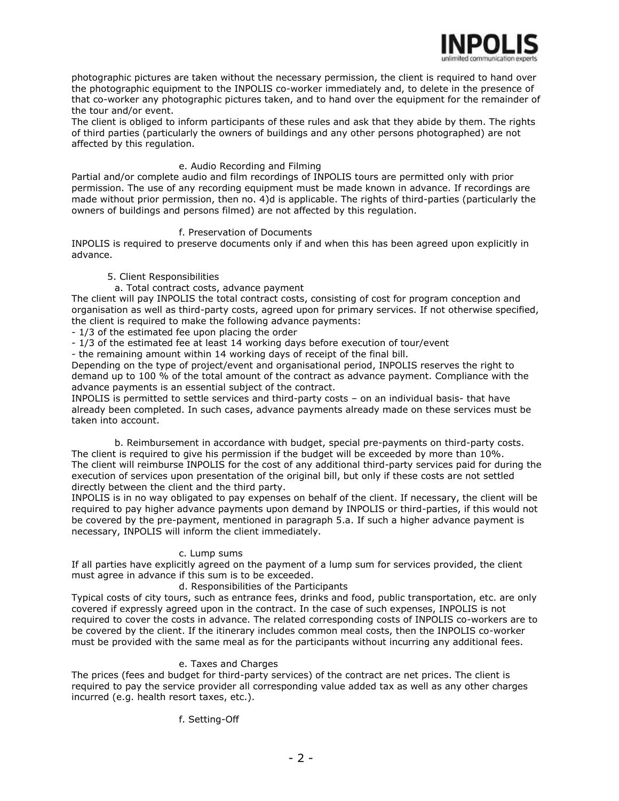

photographic pictures are taken without the necessary permission, the client is required to hand over the photographic equipment to the INPOLIS co-worker immediately and, to delete in the presence of that co-worker any photographic pictures taken, and to hand over the equipment for the remainder of the tour and/or event.

The client is obliged to inform participants of these rules and ask that they abide by them. The rights of third parties (particularly the owners of buildings and any other persons photographed) are not affected by this regulation.

# e. Audio Recording and Filming

Partial and/or complete audio and film recordings of INPOLIS tours are permitted only with prior permission. The use of any recording equipment must be made known in advance. If recordings are made without prior permission, then no. 4)d is applicable. The rights of third-parties (particularly the owners of buildings and persons filmed) are not affected by this regulation.

# f. Preservation of Documents

INPOLIS is required to preserve documents only if and when this has been agreed upon explicitly in advance.

# 5. Client Responsibilities

# a. Total contract costs, advance payment

The client will pay INPOLIS the total contract costs, consisting of cost for program conception and organisation as well as third-party costs, agreed upon for primary services. If not otherwise specified, the client is required to make the following advance payments:

- 1/3 of the estimated fee upon placing the order

- 1/3 of the estimated fee at least 14 working days before execution of tour/event

- the remaining amount within 14 working days of receipt of the final bill.

Depending on the type of project/event and organisational period, INPOLIS reserves the right to demand up to 100 % of the total amount of the contract as advance payment. Compliance with the advance payments is an essential subject of the contract.

INPOLIS is permitted to settle services and third-party costs – on an individual basis- that have already been completed. In such cases, advance payments already made on these services must be taken into account.

b. Reimbursement in accordance with budget, special pre-payments on third-party costs. The client is required to give his permission if the budget will be exceeded by more than 10%. The client will reimburse INPOLIS for the cost of any additional third-party services paid for during the execution of services upon presentation of the original bill, but only if these costs are not settled directly between the client and the third party.

INPOLIS is in no way obligated to pay expenses on behalf of the client. If necessary, the client will be required to pay higher advance payments upon demand by INPOLIS or third-parties, if this would not be covered by the pre-payment, mentioned in paragraph 5.a. If such a higher advance payment is necessary, INPOLIS will inform the client immediately.

#### c. Lump sums

If all parties have explicitly agreed on the payment of a lump sum for services provided, the client must agree in advance if this sum is to be exceeded.

# d. Responsibilities of the Participants

Typical costs of city tours, such as entrance fees, drinks and food, public transportation, etc. are only covered if expressly agreed upon in the contract. In the case of such expenses, INPOLIS is not required to cover the costs in advance. The related corresponding costs of INPOLIS co-workers are to be covered by the client. If the itinerary includes common meal costs, then the INPOLIS co-worker must be provided with the same meal as for the participants without incurring any additional fees.

# e. Taxes and Charges

The prices (fees and budget for third-party services) of the contract are net prices. The client is required to pay the service provider all corresponding value added tax as well as any other charges incurred (e.g. health resort taxes, etc.).

# f. Setting-Off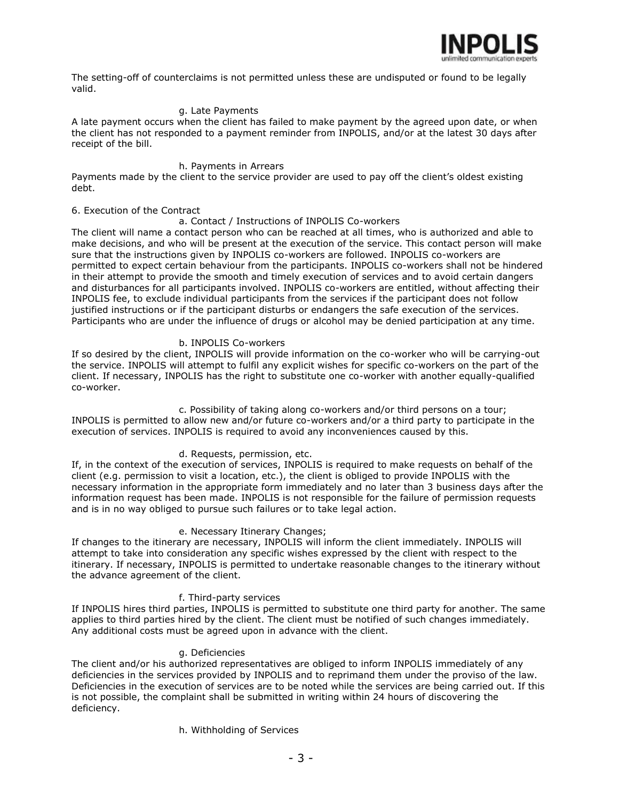

The setting-off of counterclaims is not permitted unless these are undisputed or found to be legally valid.

#### g. Late Payments

A late payment occurs when the client has failed to make payment by the agreed upon date, or when the client has not responded to a payment reminder from INPOLIS, and/or at the latest 30 days after receipt of the bill.

#### h. Payments in Arrears

Payments made by the client to the service provider are used to pay off the client's oldest existing debt.

#### 6. Execution of the Contract

#### a. Contact / Instructions of INPOLIS Co-workers

The client will name a contact person who can be reached at all times, who is authorized and able to make decisions, and who will be present at the execution of the service. This contact person will make sure that the instructions given by INPOLIS co-workers are followed. INPOLIS co-workers are permitted to expect certain behaviour from the participants. INPOLIS co-workers shall not be hindered in their attempt to provide the smooth and timely execution of services and to avoid certain dangers and disturbances for all participants involved. INPOLIS co-workers are entitled, without affecting their INPOLIS fee, to exclude individual participants from the services if the participant does not follow justified instructions or if the participant disturbs or endangers the safe execution of the services. Participants who are under the influence of drugs or alcohol may be denied participation at any time.

#### b. INPOLIS Co-workers

If so desired by the client, INPOLIS will provide information on the co-worker who will be carrying-out the service. INPOLIS will attempt to fulfil any explicit wishes for specific co-workers on the part of the client. If necessary, INPOLIS has the right to substitute one co-worker with another equally-qualified co-worker.

c. Possibility of taking along co-workers and/or third persons on a tour; INPOLIS is permitted to allow new and/or future co-workers and/or a third party to participate in the execution of services. INPOLIS is required to avoid any inconveniences caused by this.

#### d. Requests, permission, etc.

If, in the context of the execution of services, INPOLIS is required to make requests on behalf of the client (e.g. permission to visit a location, etc.), the client is obliged to provide INPOLIS with the necessary information in the appropriate form immediately and no later than 3 business days after the information request has been made. INPOLIS is not responsible for the failure of permission requests and is in no way obliged to pursue such failures or to take legal action.

#### e. Necessary Itinerary Changes;

If changes to the itinerary are necessary, INPOLIS will inform the client immediately. INPOLIS will attempt to take into consideration any specific wishes expressed by the client with respect to the itinerary. If necessary, INPOLIS is permitted to undertake reasonable changes to the itinerary without the advance agreement of the client.

#### f. Third-party services

If INPOLIS hires third parties, INPOLIS is permitted to substitute one third party for another. The same applies to third parties hired by the client. The client must be notified of such changes immediately. Any additional costs must be agreed upon in advance with the client.

#### g. Deficiencies

The client and/or his authorized representatives are obliged to inform INPOLIS immediately of any deficiencies in the services provided by INPOLIS and to reprimand them under the proviso of the law. Deficiencies in the execution of services are to be noted while the services are being carried out. If this is not possible, the complaint shall be submitted in writing within 24 hours of discovering the deficiency.

h. Withholding of Services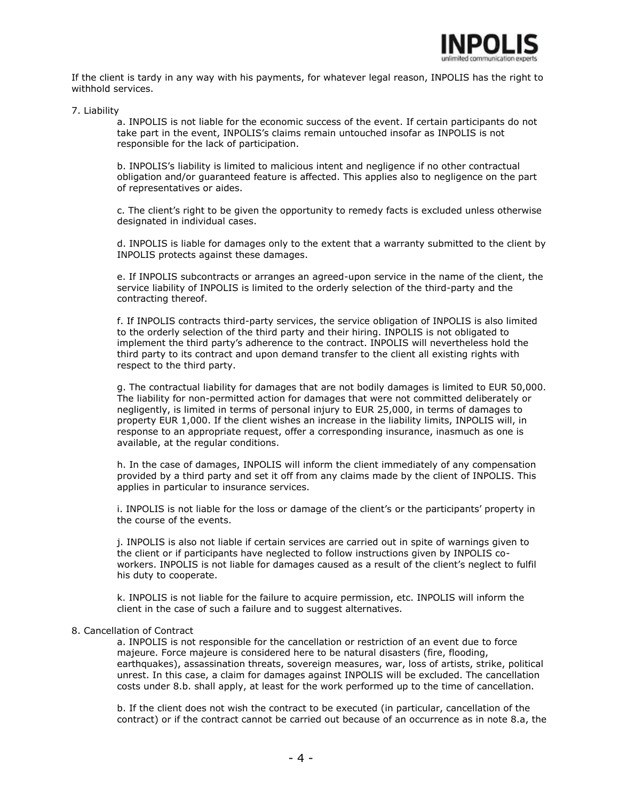

If the client is tardy in any way with his payments, for whatever legal reason, INPOLIS has the right to withhold services.

#### 7. Liability

a. INPOLIS is not liable for the economic success of the event. If certain participants do not take part in the event, INPOLIS's claims remain untouched insofar as INPOLIS is not responsible for the lack of participation.

b. INPOLIS's liability is limited to malicious intent and negligence if no other contractual obligation and/or guaranteed feature is affected. This applies also to negligence on the part of representatives or aides.

c. The client's right to be given the opportunity to remedy facts is excluded unless otherwise designated in individual cases.

d. INPOLIS is liable for damages only to the extent that a warranty submitted to the client by INPOLIS protects against these damages.

e. If INPOLIS subcontracts or arranges an agreed-upon service in the name of the client, the service liability of INPOLIS is limited to the orderly selection of the third-party and the contracting thereof.

f. If INPOLIS contracts third-party services, the service obligation of INPOLIS is also limited to the orderly selection of the third party and their hiring. INPOLIS is not obligated to implement the third party's adherence to the contract. INPOLIS will nevertheless hold the third party to its contract and upon demand transfer to the client all existing rights with respect to the third party.

g. The contractual liability for damages that are not bodily damages is limited to EUR 50,000. The liability for non-permitted action for damages that were not committed deliberately or negligently, is limited in terms of personal injury to EUR 25,000, in terms of damages to property EUR 1,000. If the client wishes an increase in the liability limits, INPOLIS will, in response to an appropriate request, offer a corresponding insurance, inasmuch as one is available, at the regular conditions.

h. In the case of damages, INPOLIS will inform the client immediately of any compensation provided by a third party and set it off from any claims made by the client of INPOLIS. This applies in particular to insurance services.

i. INPOLIS is not liable for the loss or damage of the client's or the participants' property in the course of the events.

j. INPOLIS is also not liable if certain services are carried out in spite of warnings given to the client or if participants have neglected to follow instructions given by INPOLIS coworkers. INPOLIS is not liable for damages caused as a result of the client's neglect to fulfil his duty to cooperate.

k. INPOLIS is not liable for the failure to acquire permission, etc. INPOLIS will inform the client in the case of such a failure and to suggest alternatives.

#### 8. Cancellation of Contract

a. INPOLIS is not responsible for the cancellation or restriction of an event due to force majeure. Force majeure is considered here to be natural disasters (fire, flooding, earthquakes), assassination threats, sovereign measures, war, loss of artists, strike, political unrest. In this case, a claim for damages against INPOLIS will be excluded. The cancellation costs under 8.b. shall apply, at least for the work performed up to the time of cancellation.

b. If the client does not wish the contract to be executed (in particular, cancellation of the contract) or if the contract cannot be carried out because of an occurrence as in note 8.a, the